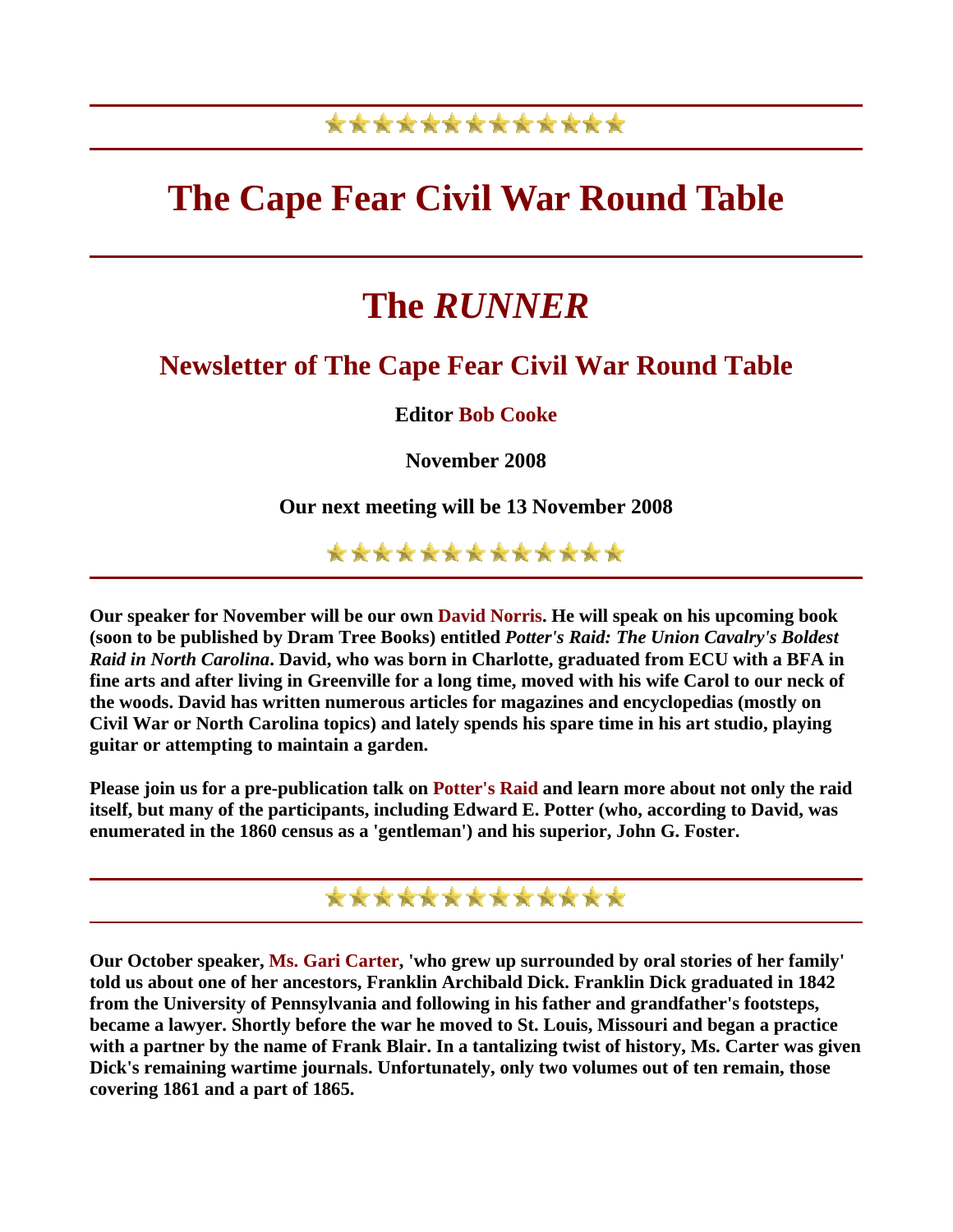### \*\*\*\*\*\*\*\*\*\*\*\*\*

## **The Cape Fear Civil War Round Table**

# **The** *RUNNER*

#### **Newsletter of The Cape Fear Civil War Round Table**

**Editor Bob Cooke**

**November 2008** 

**Our next meeting will be 13 November 2008** 

\*\*\*\*\*\*\*\*\*\*\*\*\*

**Our speaker for November will be our own David Norris. He will speak on his upcoming book (soon to be published by Dram Tree Books) entitled** *Potter's Raid: The Union Cavalry's Boldest Raid in North Carolina***. David, who was born in Charlotte, graduated from ECU with a BFA in fine arts and after living in Greenville for a long time, moved with his wife Carol to our neck of the woods. David has written numerous articles for magazines and encyclopedias (mostly on Civil War or North Carolina topics) and lately spends his spare time in his art studio, playing guitar or attempting to maintain a garden.** 

**Please join us for a pre-publication talk on Potter's Raid and learn more about not only the raid itself, but many of the participants, including Edward E. Potter (who, according to David, was enumerated in the 1860 census as a 'gentleman') and his superior, John G. Foster.** 

\*\*\*\*\*\*\*\*\*\*\*\*\*

**Our October speaker, Ms. Gari Carter, 'who grew up surrounded by oral stories of her family' told us about one of her ancestors, Franklin Archibald Dick. Franklin Dick graduated in 1842 from the University of Pennsylvania and following in his father and grandfather's footsteps, became a lawyer. Shortly before the war he moved to St. Louis, Missouri and began a practice with a partner by the name of Frank Blair. In a tantalizing twist of history, Ms. Carter was given Dick's remaining wartime journals. Unfortunately, only two volumes out of ten remain, those covering 1861 and a part of 1865.**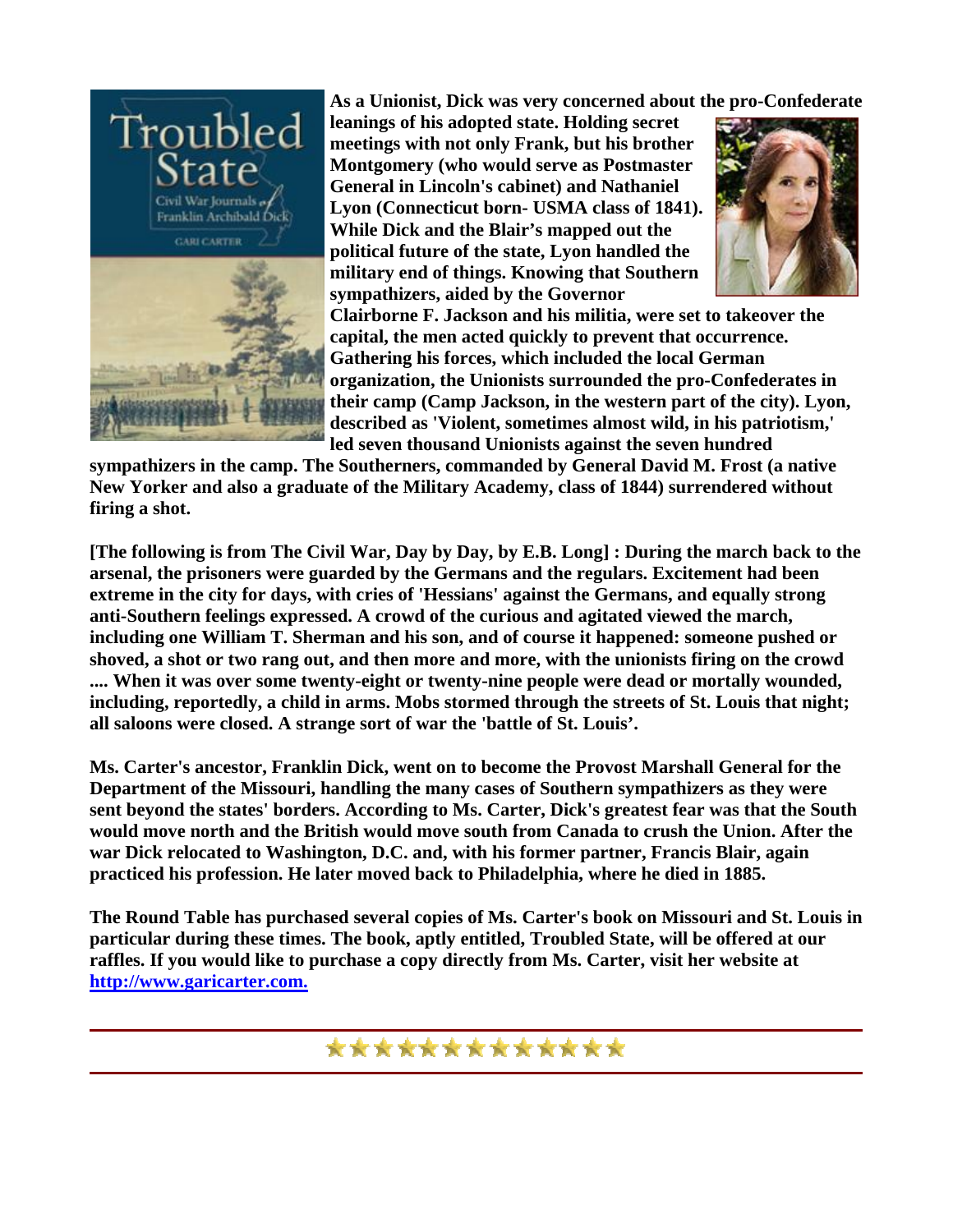

**As a Unionist, Dick was very concerned about t he pro-Confederate** 

**leanings of his adopted state. Holding secret**  meetings with not only Frank, but his brother **Montgomery (who would serve as Postmaster General in Lincoln's cabinet) and Nath aniel Lyon (Connecticut born- USMA class of 1841). While Dick and the Blair's mapped out the** political future of the state, Lyon handled the **military end of things. Knowing that Southern sympathizers, aided by the Governor** 



**Clairborne F. Jackson and his militia, were set to takeover the capital, the men acted quickly to prevent that occurrence. Gathering his forces, which included the local German organization, the Unionists surrounded the pro-Confederates in their camp (Camp Jackson, in the western part of the city). Lyon, described as 'Violent, sometimes almost wild, in his patriotism,' led seven thousand Unionists against the seven hundred** 

**sympathizers in the camp. The Southerners, commanded by General David M. Frost (a native New Yorker and also a graduate of the Military Academy, class of 1844) surrendered without firing a shot.** 

**[The following is from The Civil War, Day by Day, by E.B. Long] : During the march back to the arsenal, the prisoners were guarded by the Germans and the regulars. Excitement had been extreme in the city for days, with cries of 'Hessians' against the Germans, and equally strong anti-Southern feelings expressed. A crowd of the curious and agitated viewed the march, including one William T. Sherman and his son, and of course it happened: someone pushed or shoved, a shot or two rang out, and then more and more, with the unionists firing on the crowd .... When it was over some twenty-eight or twenty-nine people were dead or mortally wounded, including, reportedly, a child in arms. Mobs stormed through the streets of St. Louis that night; all saloons were closed. A strange sort of war the 'battle of St. Louis'.** 

**Ms. Carter's ancestor, Franklin Dick, went on to become the Provost Marshall General for the Department of the Missouri, handling the many cases of Southern sympathizers as they were sent beyond the states' borders. According to Ms. Carter, Dick's greatest fear was that the South would move north and the British would move south from Canada to crush the Union. After the war Dick relocated to Washington, D.C. and, with his former partner, Francis Blair, again practiced his profession. He later moved back to Philadelphia, where he died in 1885.** 

**The Round Table has purchased several copies of Ms. Carter's book on Missouri and St. Louis in particular during these times. The book, aptly entitled, Troubled State, will be offered at our raffles. If you would like to purchase a copy directly from Ms. Carter, visit her website at [http://www.garicarter.com.](http://www.garicarter.com/index.htm)** 

\*\*\*\*\*\*\*\*\*\*\*\*\*